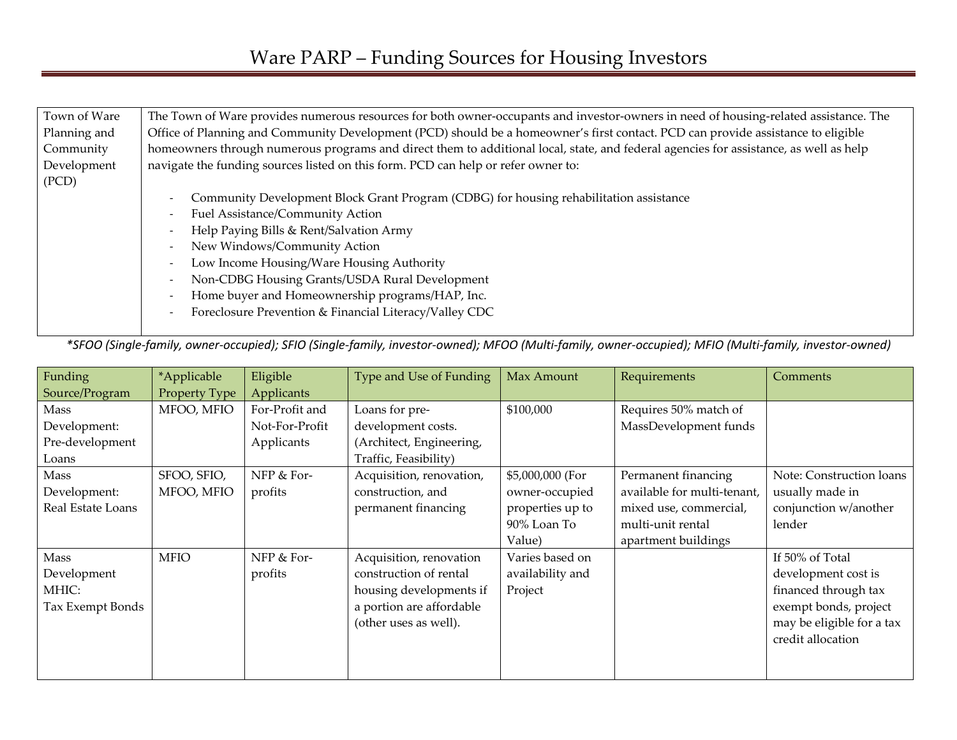| Town of Ware | The Town of Ware provides numerous resources for both owner-occupants and investor-owners in need of housing-related assistance. The  |  |  |  |  |  |  |
|--------------|---------------------------------------------------------------------------------------------------------------------------------------|--|--|--|--|--|--|
| Planning and | Office of Planning and Community Development (PCD) should be a homeowner's first contact. PCD can provide assistance to eligible      |  |  |  |  |  |  |
| Community    | homeowners through numerous programs and direct them to additional local, state, and federal agencies for assistance, as well as help |  |  |  |  |  |  |
| Development  | navigate the funding sources listed on this form. PCD can help or refer owner to:                                                     |  |  |  |  |  |  |
| (PCD)        |                                                                                                                                       |  |  |  |  |  |  |
|              | Community Development Block Grant Program (CDBG) for housing rehabilitation assistance                                                |  |  |  |  |  |  |
|              | Fuel Assistance/Community Action                                                                                                      |  |  |  |  |  |  |
|              | Help Paying Bills & Rent/Salvation Army                                                                                               |  |  |  |  |  |  |
|              | New Windows/Community Action                                                                                                          |  |  |  |  |  |  |
|              | Low Income Housing/Ware Housing Authority                                                                                             |  |  |  |  |  |  |
|              | Non-CDBG Housing Grants/USDA Rural Development                                                                                        |  |  |  |  |  |  |
|              | Home buyer and Homeownership programs/HAP, Inc.                                                                                       |  |  |  |  |  |  |
|              | Foreclosure Prevention & Financial Literacy/Valley CDC                                                                                |  |  |  |  |  |  |
|              |                                                                                                                                       |  |  |  |  |  |  |

*\*SFOO (Single-family, owner-occupied); SFIO (Single-family, investor-owned); MFOO (Multi-family, owner-occupied); MFIO (Multi-family, investor-owned)* 

| Funding           | *Applicable   | Eligible       | Type and Use of Funding  | Max Amount       | Requirements                | Comments                  |
|-------------------|---------------|----------------|--------------------------|------------------|-----------------------------|---------------------------|
| Source/Program    | Property Type | Applicants     |                          |                  |                             |                           |
| Mass              | MFOO, MFIO    | For-Profit and | Loans for pre-           | \$100,000        | Requires 50% match of       |                           |
| Development:      |               | Not-For-Profit | development costs.       |                  | MassDevelopment funds       |                           |
| Pre-development   |               | Applicants     | (Architect, Engineering, |                  |                             |                           |
| Loans             |               |                | Traffic, Feasibility)    |                  |                             |                           |
| Mass              | SFOO, SFIO,   | NFP & For-     | Acquisition, renovation, | \$5,000,000 (For | Permanent financing         | Note: Construction loans  |
| Development:      | MFOO, MFIO    | profits        | construction, and        | owner-occupied   | available for multi-tenant, | usually made in           |
| Real Estate Loans |               |                | permanent financing      | properties up to | mixed use, commercial,      | conjunction w/another     |
|                   |               |                |                          | 90% Loan To      | multi-unit rental           | lender                    |
|                   |               |                |                          | Value)           | apartment buildings         |                           |
| Mass              | <b>MFIO</b>   | NFP & For-     | Acquisition, renovation  | Varies based on  |                             | If 50% of Total           |
| Development       |               | profits        | construction of rental   | availability and |                             | development cost is       |
| MHIC:             |               |                | housing developments if  | Project          |                             | financed through tax      |
| Tax Exempt Bonds  |               |                | a portion are affordable |                  |                             | exempt bonds, project     |
|                   |               |                | (other uses as well).    |                  |                             | may be eligible for a tax |
|                   |               |                |                          |                  |                             | credit allocation         |
|                   |               |                |                          |                  |                             |                           |
|                   |               |                |                          |                  |                             |                           |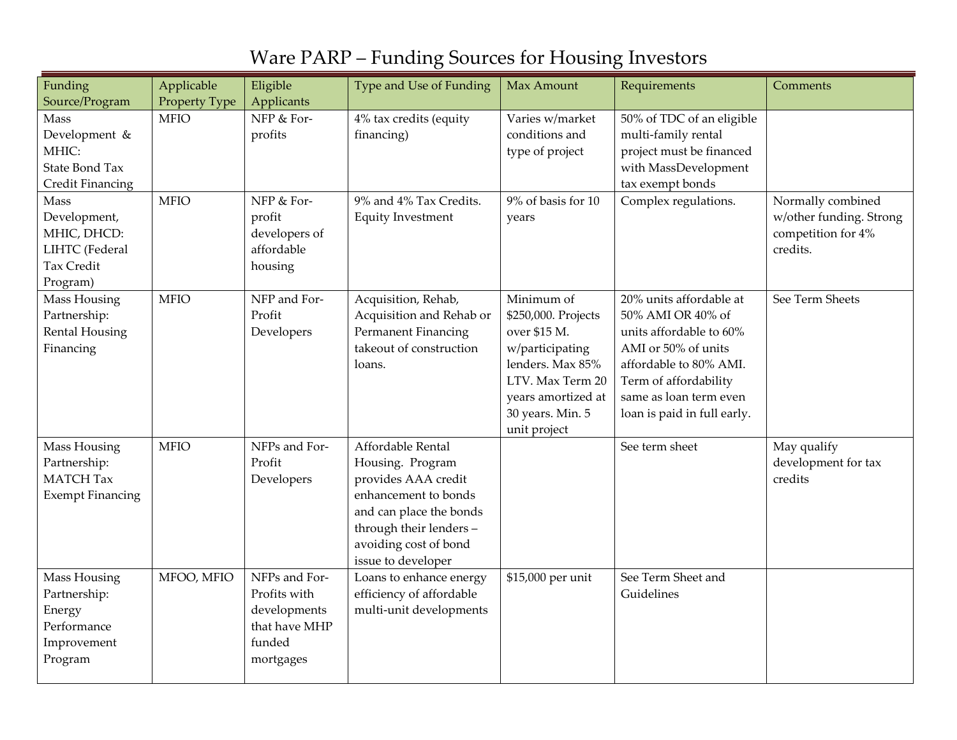| Funding<br>Source/Program                                                              | Applicable<br>Property Type | Eligible<br>Applicants                                                                | Type and Use of Funding                                                                                                                                                                   | Max Amount                                                                                                                                                             | Requirements                                                                                                                                                                                               | Comments                                                                       |
|----------------------------------------------------------------------------------------|-----------------------------|---------------------------------------------------------------------------------------|-------------------------------------------------------------------------------------------------------------------------------------------------------------------------------------------|------------------------------------------------------------------------------------------------------------------------------------------------------------------------|------------------------------------------------------------------------------------------------------------------------------------------------------------------------------------------------------------|--------------------------------------------------------------------------------|
| Mass<br>Development &<br>MHIC:<br><b>State Bond Tax</b><br><b>Credit Financing</b>     | <b>MFIO</b>                 | NFP & For-<br>profits                                                                 | 4% tax credits (equity<br>financing)                                                                                                                                                      | Varies w/market<br>conditions and<br>type of project                                                                                                                   | 50% of TDC of an eligible<br>multi-family rental<br>project must be financed<br>with MassDevelopment<br>tax exempt bonds                                                                                   |                                                                                |
| Mass<br>Development,<br>MHIC, DHCD:<br>LIHTC (Federal<br><b>Tax Credit</b><br>Program) | <b>MFIO</b>                 | NFP & For-<br>profit<br>developers of<br>affordable<br>housing                        | 9% and 4% Tax Credits.<br><b>Equity Investment</b>                                                                                                                                        | 9% of basis for 10<br>years                                                                                                                                            | Complex regulations.                                                                                                                                                                                       | Normally combined<br>w/other funding. Strong<br>competition for 4%<br>credits. |
| Mass Housing<br>Partnership:<br><b>Rental Housing</b><br>Financing                     | <b>MFIO</b>                 | NFP and For-<br>Profit<br>Developers                                                  | Acquisition, Rehab,<br>Acquisition and Rehab or<br>Permanent Financing<br>takeout of construction<br>loans.                                                                               | Minimum of<br>\$250,000. Projects<br>over \$15 M.<br>w/participating<br>lenders. Max 85%<br>LTV. Max Term 20<br>years amortized at<br>30 years. Min. 5<br>unit project | 20% units affordable at<br>50% AMI OR 40% of<br>units affordable to 60%<br>AMI or 50% of units<br>affordable to 80% AMI.<br>Term of affordability<br>same as loan term even<br>loan is paid in full early. | See Term Sheets                                                                |
| Mass Housing<br>Partnership:<br><b>MATCH Tax</b><br><b>Exempt Financing</b>            | <b>MFIO</b>                 | NFPs and For-<br>Profit<br>Developers                                                 | Affordable Rental<br>Housing. Program<br>provides AAA credit<br>enhancement to bonds<br>and can place the bonds<br>through their lenders -<br>avoiding cost of bond<br>issue to developer |                                                                                                                                                                        | See term sheet                                                                                                                                                                                             | May qualify<br>development for tax<br>credits                                  |
| Mass Housing<br>Partnership:<br>Energy<br>Performance<br>Improvement<br>Program        | MFOO, MFIO                  | NFPs and For-<br>Profits with<br>developments<br>that have MHP<br>funded<br>mortgages | Loans to enhance energy<br>efficiency of affordable<br>multi-unit developments                                                                                                            | \$15,000 per unit                                                                                                                                                      | See Term Sheet and<br>Guidelines                                                                                                                                                                           |                                                                                |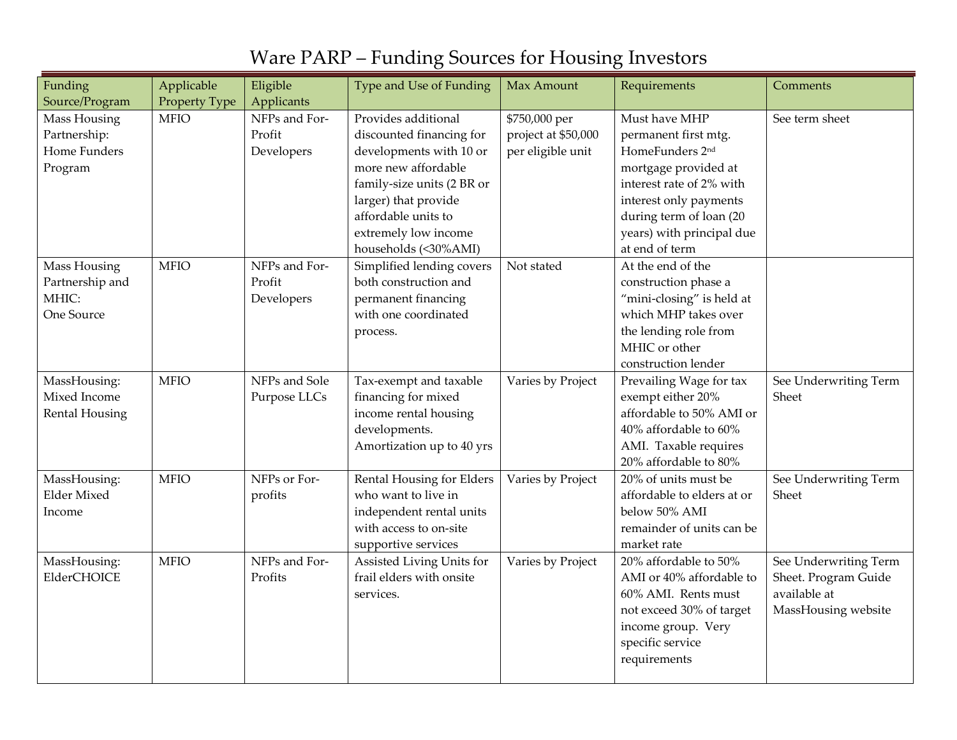| Funding                            | Applicable    | Eligible                | Type and Use of Funding                         | Max Amount                           | Requirements                                   | Comments                       |
|------------------------------------|---------------|-------------------------|-------------------------------------------------|--------------------------------------|------------------------------------------------|--------------------------------|
| Source/Program                     | Property Type | Applicants              |                                                 |                                      |                                                |                                |
| Mass Housing<br>Partnership:       | <b>MFIO</b>   | NFPs and For-<br>Profit | Provides additional<br>discounted financing for | \$750,000 per<br>project at \$50,000 | Must have MHP<br>permanent first mtg.          | See term sheet                 |
| Home Funders                       |               | Developers              | developments with 10 or                         | per eligible unit                    | HomeFunders 2nd                                |                                |
| Program                            |               |                         | more new affordable                             |                                      | mortgage provided at                           |                                |
|                                    |               |                         | family-size units (2 BR or                      |                                      | interest rate of 2% with                       |                                |
|                                    |               |                         | larger) that provide                            |                                      | interest only payments                         |                                |
|                                    |               |                         | affordable units to                             |                                      | during term of loan (20                        |                                |
|                                    |               |                         | extremely low income                            |                                      | years) with principal due                      |                                |
|                                    |               |                         | households (<30%AMI)                            |                                      | at end of term                                 |                                |
| Mass Housing                       | <b>MFIO</b>   | NFPs and For-           | Simplified lending covers                       | Not stated                           | At the end of the                              |                                |
| Partnership and                    |               | Profit                  | both construction and                           |                                      | construction phase a                           |                                |
| MHIC:                              |               | Developers              | permanent financing                             |                                      | "mini-closing" is held at                      |                                |
| One Source                         |               |                         | with one coordinated                            |                                      | which MHP takes over                           |                                |
|                                    |               |                         | process.                                        |                                      | the lending role from                          |                                |
|                                    |               |                         |                                                 |                                      | MHIC or other                                  |                                |
|                                    |               |                         |                                                 |                                      | construction lender                            |                                |
| MassHousing:                       | <b>MFIO</b>   | NFPs and Sole           | Tax-exempt and taxable                          | Varies by Project                    | Prevailing Wage for tax                        | See Underwriting Term          |
| Mixed Income                       |               | Purpose LLCs            | financing for mixed                             |                                      | exempt either 20%                              | Sheet                          |
| <b>Rental Housing</b>              |               |                         | income rental housing                           |                                      | affordable to 50% AMI or                       |                                |
|                                    |               |                         | developments.                                   |                                      | 40% affordable to 60%                          |                                |
|                                    |               |                         | Amortization up to 40 yrs                       |                                      | AMI. Taxable requires<br>20% affordable to 80% |                                |
|                                    | <b>MFIO</b>   | NFPs or For-            | Rental Housing for Elders                       |                                      | 20% of units must be                           |                                |
| MassHousing:<br><b>Elder Mixed</b> |               | profits                 | who want to live in                             | Varies by Project                    | affordable to elders at or                     | See Underwriting Term<br>Sheet |
| Income                             |               |                         | independent rental units                        |                                      | below 50% AMI                                  |                                |
|                                    |               |                         | with access to on-site                          |                                      | remainder of units can be                      |                                |
|                                    |               |                         | supportive services                             |                                      | market rate                                    |                                |
| MassHousing:                       | <b>MFIO</b>   | NFPs and For-           | Assisted Living Units for                       | Varies by Project                    | 20% affordable to 50%                          | See Underwriting Term          |
| ElderCHOICE                        |               | Profits                 | frail elders with onsite                        |                                      | AMI or 40% affordable to                       | Sheet. Program Guide           |
|                                    |               |                         | services.                                       |                                      | 60% AMI. Rents must                            | available at                   |
|                                    |               |                         |                                                 |                                      | not exceed 30% of target                       | MassHousing website            |
|                                    |               |                         |                                                 |                                      | income group. Very                             |                                |
|                                    |               |                         |                                                 |                                      | specific service                               |                                |
|                                    |               |                         |                                                 |                                      | requirements                                   |                                |
|                                    |               |                         |                                                 |                                      |                                                |                                |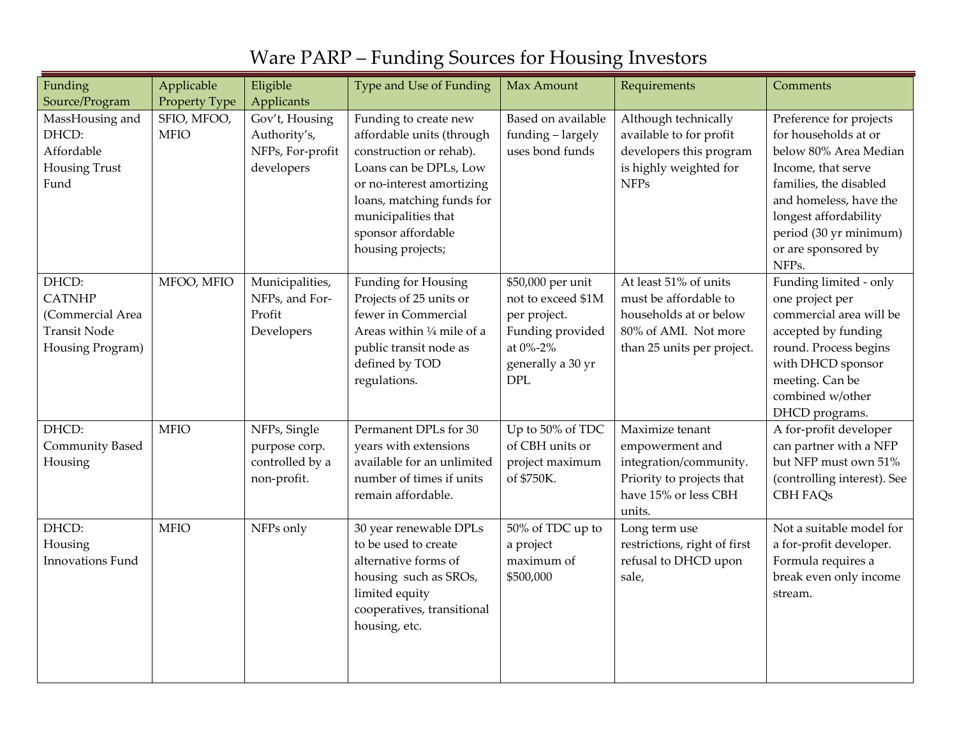| Funding                                                                                  | Applicable                                  | Eligible                                                                       | Type and Use of Funding                                                                                                                                                                                                             | Max Amount                                                                                                                 | Requirements                                                                                                                   | Comments                                                                                                                                                                                                                              |
|------------------------------------------------------------------------------------------|---------------------------------------------|--------------------------------------------------------------------------------|-------------------------------------------------------------------------------------------------------------------------------------------------------------------------------------------------------------------------------------|----------------------------------------------------------------------------------------------------------------------------|--------------------------------------------------------------------------------------------------------------------------------|---------------------------------------------------------------------------------------------------------------------------------------------------------------------------------------------------------------------------------------|
| Source/Program<br>MassHousing and<br>DHCD:<br>Affordable<br><b>Housing Trust</b><br>Fund | Property Type<br>SFIO, MFOO,<br><b>MFIO</b> | Applicants<br>Gov't, Housing<br>Authority's,<br>NFPs, For-profit<br>developers | Funding to create new<br>affordable units (through<br>construction or rehab).<br>Loans can be DPLs, Low<br>or no-interest amortizing<br>loans, matching funds for<br>municipalities that<br>sponsor affordable<br>housing projects; | Based on available<br>funding - largely<br>uses bond funds                                                                 | Although technically<br>available to for profit<br>developers this program<br>is highly weighted for<br><b>NFPs</b>            | Preference for projects<br>for households at or<br>below 80% Area Median<br>Income, that serve<br>families, the disabled<br>and homeless, have the<br>longest affordability<br>period (30 yr minimum)<br>or are sponsored by<br>NFPs. |
| DHCD:<br><b>CATNHP</b><br>(Commercial Area<br><b>Transit Node</b><br>Housing Program)    | MFOO, MFIO                                  | Municipalities,<br>NFPs, and For-<br>Profit<br>Developers                      | Funding for Housing<br>Projects of 25 units or<br>fewer in Commercial<br>Areas within 1/4 mile of a<br>public transit node as<br>defined by TOD<br>regulations.                                                                     | \$50,000 per unit<br>not to exceed \$1M<br>per project.<br>Funding provided<br>at 0%-2%<br>generally a 30 yr<br><b>DPL</b> | At least 51% of units<br>must be affordable to<br>households at or below<br>80% of AMI. Not more<br>than 25 units per project. | Funding limited - only<br>one project per<br>commercial area will be<br>accepted by funding<br>round. Process begins<br>with DHCD sponsor<br>meeting. Can be<br>combined w/other<br>DHCD programs.                                    |
| DHCD:<br><b>Community Based</b><br>Housing                                               | <b>MFIO</b>                                 | NFPs, Single<br>purpose corp.<br>controlled by a<br>non-profit.                | Permanent DPLs for 30<br>years with extensions<br>available for an unlimited<br>number of times if units<br>remain affordable.                                                                                                      | Up to 50% of TDC<br>of CBH units or<br>project maximum<br>of \$750K.                                                       | Maximize tenant<br>empowerment and<br>integration/community.<br>Priority to projects that<br>have 15% or less CBH<br>units.    | A for-profit developer<br>can partner with a NFP<br>but NFP must own 51%<br>(controlling interest). See<br>CBH FAQs                                                                                                                   |
| DHCD:<br>Housing<br>Innovations Fund                                                     | <b>MFIO</b>                                 | NFPs only                                                                      | 30 year renewable DPLs<br>to be used to create<br>alternative forms of<br>housing such as SROs,<br>limited equity<br>cooperatives, transitional<br>housing, etc.                                                                    | 50% of TDC up to<br>a project<br>maximum of<br>\$500,000                                                                   | Long term use<br>restrictions, right of first<br>refusal to DHCD upon<br>sale,                                                 | Not a suitable model for<br>a for-profit developer.<br>Formula requires a<br>break even only income<br>stream.                                                                                                                        |